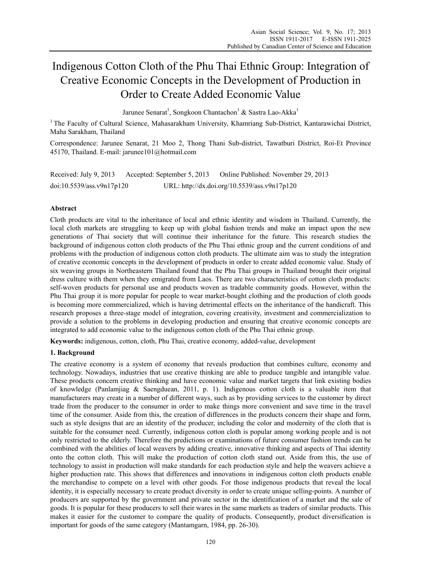# Indigenous Cotton Cloth of the Phu Thai Ethnic Group: Integration of Creative Economic Concepts in the Development of Production in Order to Create Added Economic Value

Jarunee Senarat<sup>1</sup>, Songkoon Chantachon<sup>1</sup> & Sastra Lao-Akka<sup>1</sup>

<sup>1</sup> The Faculty of Cultural Science, Mahasarakham University, Khamriang Sub-District, Kantarawichai District, Maha Sarakham, Thailand

Correspondence: Jarunee Senarat, 21 Moo 2, Thong Thani Sub-district, Tawatburi District, Roi-Et Province 45170, Thailand. E-mail: jarunee101@hotmail.com

Received: July 9, 2013 Accepted: September 5, 2013 Online Published: November 29, 2013 doi:10.5539/ass.v9n17p120 URL: http://dx.doi.org/10.5539/ass.v9n17p120

# **Abstract**

Cloth products are vital to the inheritance of local and ethnic identity and wisdom in Thailand. Currently, the local cloth markets are struggling to keep up with global fashion trends and make an impact upon the new generations of Thai society that will continue their inheritance for the future. This research studies the background of indigenous cotton cloth products of the Phu Thai ethnic group and the current conditions of and problems with the production of indigenous cotton cloth products. The ultimate aim was to study the integration of creative economic concepts in the development of products in order to create added economic value. Study of six weaving groups in Northeastern Thailand found that the Phu Thai groups in Thailand brought their original dress culture with them when they emigrated from Laos. There are two characteristics of cotton cloth products: self-woven products for personal use and products woven as tradable community goods. However, within the Phu Thai group it is more popular for people to wear market-bought clothing and the production of cloth goods is becoming more commercialized, which is having detrimental effects on the inheritance of the handicraft. This research proposes a three-stage model of integration, covering creativity, investment and commercialization to provide a solution to the problems in developing production and ensuring that creative economic concepts are integrated to add economic value to the indigenous cotton cloth of the Phu Thai ethnic group.

**Keywords:** indigenous, cotton, cloth, Phu Thai, creative economy, added-value, development

# **1. Background**

The creative economy is a system of economy that reveals production that combines culture, economy and technology. Nowadays, industries that use creative thinking are able to produce tangible and intangible value. These products concern creative thinking and have economic value and market targets that link existing bodies of knowledge (Panlamjiag & Saengduean, 2011, p. 1). Indigenous cotton cloth is a valuable item that manufacturers may create in a number of different ways, such as by providing services to the customer by direct trade from the producer to the consumer in order to make things more convenient and save time in the travel time of the consumer. Aside from this, the creation of differences in the products concern their shape and form, such as style designs that are an identity of the producer, including the color and modernity of the cloth that is suitable for the consumer need. Currently, indigenous cotton cloth is popular among working people and is not only restricted to the elderly. Therefore the predictions or examinations of future consumer fashion trends can be combined with the abilities of local weavers by adding creative, innovative thinking and aspects of Thai identity onto the cotton cloth. This will make the production of cotton cloth stand out. Aside from this, the use of technology to assist in production will make standards for each production style and help the weavers achieve a higher production rate. This shows that differences and innovations in indigenous cotton cloth products enable the merchandise to compete on a level with other goods. For those indigenous products that reveal the local identity, it is especially necessary to create product diversity in order to create unique selling-points. A number of producers are supported by the government and private sector in the identification of a market and the sale of goods. It is popular for these producers to sell their wares in the same markets as traders of similar products. This makes it easier for the customer to compare the quality of products. Consequently, product diversification is important for goods of the same category (Mantamgarn, 1984, pp. 26-30).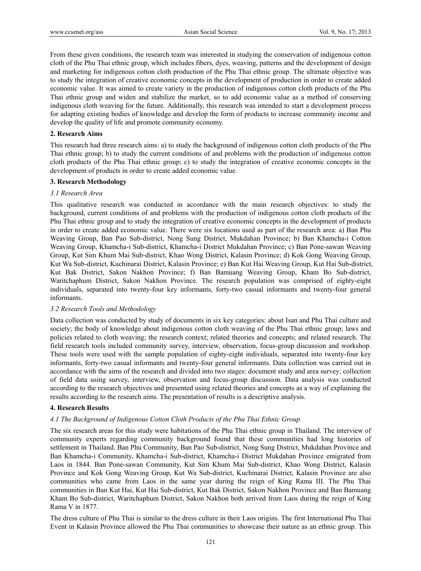From these given conditions, the research team was interested in studying the conservation of indigenous cotton cloth of the Phu Thai ethnic group, which includes fibers, dyes, weaving, patterns and the development of design and marketing for indigenous cotton cloth production of the Phu Thai ethnic group. The ultimate objective was to study the integration of creative economic concepts in the development of production in order to create added economic value. It was aimed to create variety in the production of indigenous cotton cloth products of the Phu Thai ethnic group and widen and stabilize the market, so to add economic value as a method of conserving indigenous cloth weaving for the future. Additionally, this research was intended to start a development process for adapting existing bodies of knowledge and develop the form of products to increase community income and develop the quality of life and promote community economy.

# **2. Research Aims**

This research had three research aims: a) to study the background of indigenous cotton cloth products of the Phu Thai ethnic group; b) to study the current conditions of and problems with the production of indigenous cotton cloth products of the Phu Thai ethnic group; c) to study the integration of creative economic concepts in the development of products in order to create added economic value.

# **3. Research Methodology**

# *3.1 Research Area*

This qualitative research was conducted in accordance with the main research objectives: to study the background, current conditions of and problems with the production of indigenous cotton cloth products of the Phu Thai ethnic group and to study the integration of creative economic concepts in the development of products in order to create added economic value. There were six locations used as part of the research area: a) Ban Phu Weaving Group, Ban Pao Sub-district, Nong Sung District, Mukdahan Province; b) Ban Khamcha-i Cotton Weaving Group, Khamcha-i Sub-district, Khamcha-i District Mukdahan Province; c) Ban Pone-sawan Weaving Group, Kut Sim Khum Mai Sub-district, Khao Wong District, Kalasin Province; d) Kok Gong Weaving Group, Kut Wa Sub-district, Kuchinarai District, Kalasin Province; e) Ban Kut Hai Weaving Group, Kut Hai Sub-district, Kut Bak District, Sakon Nakhon Province; f) Ban Bamuang Weaving Group, Kham Bo Sub-district, Waritchaphum District, Sakon Nakhon Province. The research population was comprised of eighty-eight individuals, separated into twenty-four key informants, forty-two casual informants and twenty-four general informants.

# *3.2 Research Tools and Methodology*

Data collection was conducted by study of documents in six key categories: about Isan and Phu Thai culture and society; the body of knowledge about indigenous cotton cloth weaving of the Phu Thai ethnic group; laws and policies related to cloth weaving; the research context; related theories and concepts; and related research. The field research tools included community survey, interview, observation, focus-group discussion and workshop. These tools were used with the sample population of eighty-eight individuals, separated into twenty-four key informants, forty-two casual informants and twenty-four general informants. Data collection was carried out in accordance with the aims of the research and divided into two stages: document study and area survey; collection of field data using survey, interview, observation and focus-group discussion. Data analysis was conducted according to the research objectives and presented using related theories and concepts as a way of explaining the results according to the research aims. The presentation of results is a descriptive analysis.

# **4. Research Results**

# *4.1 The Background of Indigenous Cotton Cloth Products of the Phu Thai Ethnic Group*

The six research areas for this study were habitations of the Phu Thai ethnic group in Thailand. The interview of community experts regarding community background found that these communities had long histories of settlement in Thailand. Ban Phu Community, Ban Pao Sub-district, Nong Sung District, Mukdahan Province and Ban Khamcha-i Community, Khamcha-i Sub-district, Khamcha-i District Mukdahan Province emigrated from Laos in 1844. Ban Pone-sawan Community, Kut Sim Khum Mai Sub-district, Khao Wong District, Kalasin Province and Kok Gong Weaving Group, Kut Wa Sub-district, Kuchinarai District, Kalasin Province are also communities who came from Laos in the same year during the reign of King Rama III. The Phu Thai communities in Ban Kut Hai, Kut Hai Sub-district, Kut Bak District, Sakon Nakhon Province and Ban Bamuang Kham Bo Sub-district, Waritchaphum District, Sakon Nakhon both arrived from Laos during the reign of King Rama V in 1877.

The dress culture of Phu Thai is similar to the dress culture in their Laos origins. The first International Phu Thai Event in Kalasin Province allowed the Phu Thai communities to showcase their nature as an ethnic group. This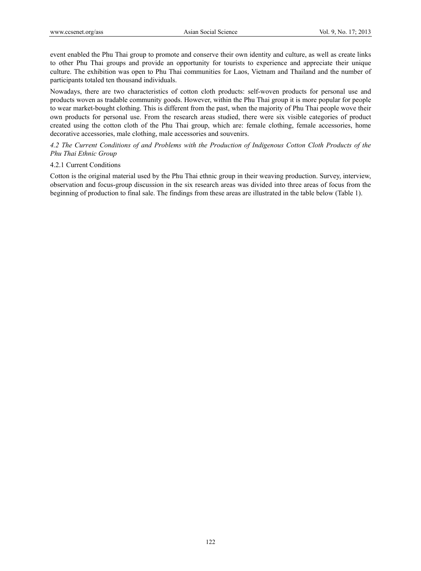event enabled the Phu Thai group to promote and conserve their own identity and culture, as well as create links to other Phu Thai groups and provide an opportunity for tourists to experience and appreciate their unique culture. The exhibition was open to Phu Thai communities for Laos, Vietnam and Thailand and the number of participants totaled ten thousand individuals.

Nowadays, there are two characteristics of cotton cloth products: self-woven products for personal use and products woven as tradable community goods. However, within the Phu Thai group it is more popular for people to wear market-bought clothing. This is different from the past, when the majority of Phu Thai people wove their own products for personal use. From the research areas studied, there were six visible categories of product created using the cotton cloth of the Phu Thai group, which are: female clothing, female accessories, home decorative accessories, male clothing, male accessories and souvenirs.

*4.2 The Current Conditions of and Problems with the Production of Indigenous Cotton Cloth Products of the Phu Thai Ethnic Group* 

#### 4.2.1 Current Conditions

Cotton is the original material used by the Phu Thai ethnic group in their weaving production. Survey, interview, observation and focus-group discussion in the six research areas was divided into three areas of focus from the beginning of production to final sale. The findings from these areas are illustrated in the table below (Table 1).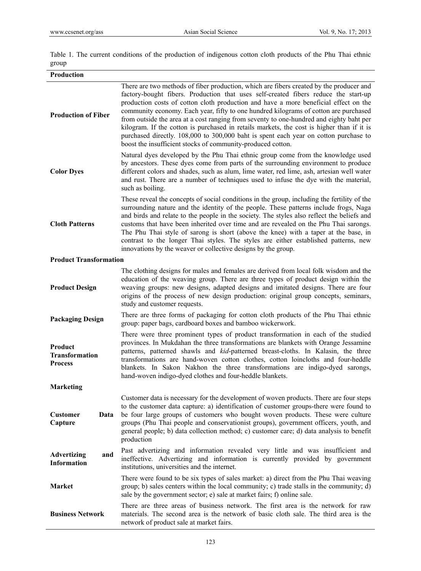|       |  |  | Table 1. The current conditions of the production of indigenous cotton cloth products of the Phu Thai ethnic |  |  |  |  |  |
|-------|--|--|--------------------------------------------------------------------------------------------------------------|--|--|--|--|--|
| group |  |  |                                                                                                              |  |  |  |  |  |

| Production                                         |                                                                                                                                                                                                                                                                                                                                                                                                                                                                                                                                                                                                                                                                                                               |  |  |  |  |
|----------------------------------------------------|---------------------------------------------------------------------------------------------------------------------------------------------------------------------------------------------------------------------------------------------------------------------------------------------------------------------------------------------------------------------------------------------------------------------------------------------------------------------------------------------------------------------------------------------------------------------------------------------------------------------------------------------------------------------------------------------------------------|--|--|--|--|
| <b>Production of Fiber</b>                         | There are two methods of fiber production, which are fibers created by the producer and<br>factory-bought fibers. Production that uses self-created fibers reduce the start-up<br>production costs of cotton cloth production and have a more beneficial effect on the<br>community economy. Each year, fifty to one hundred kilograms of cotton are purchased<br>from outside the area at a cost ranging from seventy to one-hundred and eighty baht per<br>kilogram. If the cotton is purchased in retails markets, the cost is higher than if it is<br>purchased directly. 108,000 to 300,000 baht is spent each year on cotton purchase to<br>boost the insufficient stocks of community-produced cotton. |  |  |  |  |
| <b>Color Dyes</b>                                  | Natural dyes developed by the Phu Thai ethnic group come from the knowledge used<br>by ancestors. These dyes come from parts of the surrounding environment to produce<br>different colors and shades, such as alum, lime water, red lime, ash, artesian well water<br>and rust. There are a number of techniques used to infuse the dye with the material,<br>such as boiling.                                                                                                                                                                                                                                                                                                                               |  |  |  |  |
| <b>Cloth Patterns</b>                              | These reveal the concepts of social conditions in the group, including the fertility of the<br>surrounding nature and the identity of the people. These patterns include frogs, Naga<br>and birds and relate to the people in the society. The styles also reflect the beliefs and<br>customs that have been inherited over time and are revealed on the Phu Thai sarongs.<br>The Phu Thai style of sarong is short (above the knee) with a taper at the base, in<br>contrast to the longer Thai styles. The styles are either established patterns, new<br>innovations by the weaver or collective designs by the group.                                                                                     |  |  |  |  |
| <b>Product Transformation</b>                      |                                                                                                                                                                                                                                                                                                                                                                                                                                                                                                                                                                                                                                                                                                               |  |  |  |  |
| <b>Product Design</b>                              | The clothing designs for males and females are derived from local folk wisdom and the<br>education of the weaving group. There are three types of product design within the<br>weaving groups: new designs, adapted designs and imitated designs. There are four<br>origins of the process of new design production: original group concepts, seminars,<br>study and customer requests.                                                                                                                                                                                                                                                                                                                       |  |  |  |  |
| <b>Packaging Design</b>                            | There are three forms of packaging for cotton cloth products of the Phu Thai ethnic<br>group: paper bags, cardboard boxes and bamboo wickerwork.                                                                                                                                                                                                                                                                                                                                                                                                                                                                                                                                                              |  |  |  |  |
| Product<br><b>Transformation</b><br><b>Process</b> | There were three prominent types of product transformation in each of the studied<br>provinces. In Mukdahan the three transformations are blankets with Orange Jessamine<br>patterns, patterned shawls and kid-patterned breast-cloths. In Kalasin, the three<br>transformations are hand-woven cotton clothes, cotton loincloths and four-heddle<br>blankets. In Sakon Nakhon the three transformations are indigo-dyed sarongs,<br>hand-woven indigo-dyed clothes and four-heddle blankets.                                                                                                                                                                                                                 |  |  |  |  |
| <b>Marketing</b>                                   |                                                                                                                                                                                                                                                                                                                                                                                                                                                                                                                                                                                                                                                                                                               |  |  |  |  |
| <b>Customer</b><br>Data<br>Capture                 | Customer data is necessary for the development of woven products. There are four steps<br>to the customer data capture: a) identification of customer groups-there were found to<br>be four large groups of customers who bought woven products. These were culture<br>groups (Phu Thai people and conservationist groups), government officers, youth, and<br>general people; b) data collection method; c) customer care; d) data analysis to benefit<br>production                                                                                                                                                                                                                                         |  |  |  |  |
| <b>Advertizing</b><br>and<br><b>Information</b>    | Past advertizing and information revealed very little and was insufficient and<br>ineffective. Advertizing and information is currently provided by government<br>institutions, universities and the internet.                                                                                                                                                                                                                                                                                                                                                                                                                                                                                                |  |  |  |  |
| <b>Market</b>                                      | There were found to be six types of sales market: a) direct from the Phu Thai weaving<br>group; b) sales centers within the local community; c) trade stalls in the community; d)<br>sale by the government sector; e) sale at market fairs; f) online sale.                                                                                                                                                                                                                                                                                                                                                                                                                                                  |  |  |  |  |
| <b>Business Network</b>                            | There are three areas of business network. The first area is the network for raw<br>materials. The second area is the network of basic cloth sale. The third area is the<br>network of product sale at market fairs.                                                                                                                                                                                                                                                                                                                                                                                                                                                                                          |  |  |  |  |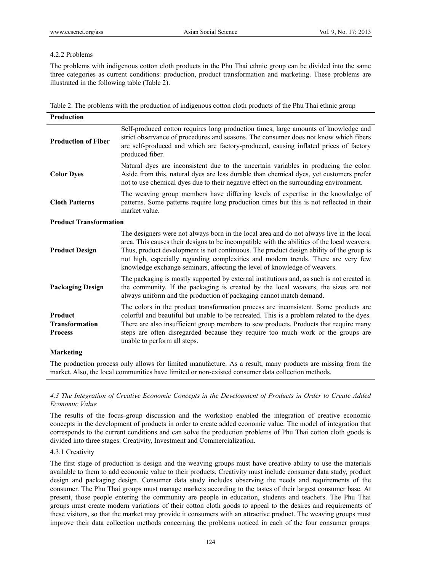# 4.2.2 Problems

The problems with indigenous cotton cloth products in the Phu Thai ethnic group can be divided into the same three categories as current conditions: production, product transformation and marketing. These problems are illustrated in the following table (Table 2).

Table 2. The problems with the production of indigenous cotton cloth products of the Phu Thai ethnic group

| Production                                         |                                                                                                                                                                                                                                                                                                                                                                                                                                                      |  |  |  |  |
|----------------------------------------------------|------------------------------------------------------------------------------------------------------------------------------------------------------------------------------------------------------------------------------------------------------------------------------------------------------------------------------------------------------------------------------------------------------------------------------------------------------|--|--|--|--|
| <b>Production of Fiber</b>                         | Self-produced cotton requires long production times, large amounts of knowledge and<br>strict observance of procedures and seasons. The consumer does not know which fibers<br>are self-produced and which are factory-produced, causing inflated prices of factory<br>produced fiber.                                                                                                                                                               |  |  |  |  |
| <b>Color Dyes</b>                                  | Natural dyes are inconsistent due to the uncertain variables in producing the color.<br>Aside from this, natural dyes are less durable than chemical dyes, yet customers prefer<br>not to use chemical dyes due to their negative effect on the surrounding environment.                                                                                                                                                                             |  |  |  |  |
| <b>Cloth Patterns</b>                              | The weaving group members have differing levels of expertise in the knowledge of<br>patterns. Some patterns require long production times but this is not reflected in their<br>market value.                                                                                                                                                                                                                                                        |  |  |  |  |
| <b>Product Transformation</b>                      |                                                                                                                                                                                                                                                                                                                                                                                                                                                      |  |  |  |  |
| <b>Product Design</b>                              | The designers were not always born in the local area and do not always live in the local<br>area. This causes their designs to be incompatible with the abilities of the local weavers.<br>Thus, product development is not continuous. The product design ability of the group is<br>not high, especially regarding complexities and modern trends. There are very few<br>knowledge exchange seminars, affecting the level of knowledge of weavers. |  |  |  |  |
| <b>Packaging Design</b>                            | The packaging is mostly supported by external institutions and, as such is not created in<br>the community. If the packaging is created by the local weavers, the sizes are not<br>always uniform and the production of packaging cannot match demand.                                                                                                                                                                                               |  |  |  |  |
| Product<br><b>Transformation</b><br><b>Process</b> | The colors in the product transformation process are inconsistent. Some products are<br>colorful and beautiful but unable to be recreated. This is a problem related to the dyes.<br>There are also insufficient group members to sew products. Products that require many<br>steps are often disregarded because they require too much work or the groups are<br>unable to perform all steps.                                                       |  |  |  |  |
| <b>Marketing</b>                                   |                                                                                                                                                                                                                                                                                                                                                                                                                                                      |  |  |  |  |

The production process only allows for limited manufacture. As a result, many products are missing from the market. Also, the local communities have limited or non-existed consumer data collection methods.

# *4.3 The Integration of Creative Economic Concepts in the Development of Products in Order to Create Added Economic Value*

The results of the focus-group discussion and the workshop enabled the integration of creative economic concepts in the development of products in order to create added economic value. The model of integration that corresponds to the current conditions and can solve the production problems of Phu Thai cotton cloth goods is divided into three stages: Creativity, Investment and Commercialization.

# 4.3.1 Creativity

The first stage of production is design and the weaving groups must have creative ability to use the materials available to them to add economic value to their products. Creativity must include consumer data study, product design and packaging design. Consumer data study includes observing the needs and requirements of the consumer. The Phu Thai groups must manage markets according to the tastes of their largest consumer base. At present, those people entering the community are people in education, students and teachers. The Phu Thai groups must create modern variations of their cotton cloth goods to appeal to the desires and requirements of these visitors, so that the market may provide it consumers with an attractive product. The weaving groups must improve their data collection methods concerning the problems noticed in each of the four consumer groups: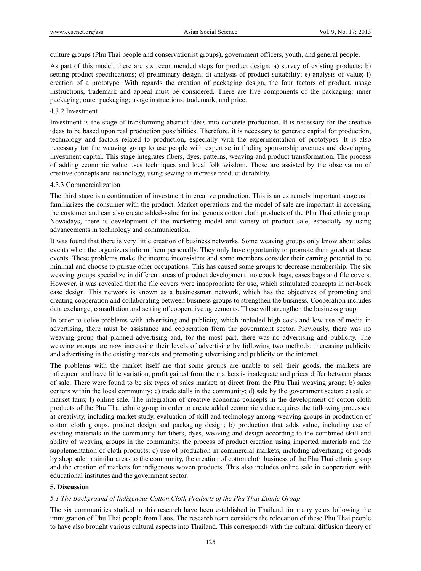culture groups (Phu Thai people and conservationist groups), government officers, youth, and general people.

As part of this model, there are six recommended steps for product design: a) survey of existing products; b) setting product specifications; c) preliminary design; d) analysis of product suitability; e) analysis of value; f) creation of a prototype. With regards the creation of packaging design, the four factors of product, usage instructions, trademark and appeal must be considered. There are five components of the packaging: inner packaging; outer packaging; usage instructions; trademark; and price.

# 4.3.2 Investment

Investment is the stage of transforming abstract ideas into concrete production. It is necessary for the creative ideas to be based upon real production possibilities. Therefore, it is necessary to generate capital for production, technology and factors related to production, especially with the experimentation of prototypes. It is also necessary for the weaving group to use people with expertise in finding sponsorship avenues and developing investment capital. This stage integrates fibers, dyes, patterns, weaving and product transformation. The process of adding economic value uses techniques and local folk wisdom. These are assisted by the observation of creative concepts and technology, using sewing to increase product durability.

#### 4.3.3 Commercialization

The third stage is a continuation of investment in creative production. This is an extremely important stage as it familiarizes the consumer with the product. Market operations and the model of sale are important in accessing the customer and can also create added-value for indigenous cotton cloth products of the Phu Thai ethnic group. Nowadays, there is development of the marketing model and variety of product sale, especially by using advancements in technology and communication.

It was found that there is very little creation of business networks. Some weaving groups only know about sales events when the organizers inform them personally. They only have opportunity to promote their goods at these events. These problems make the income inconsistent and some members consider their earning potential to be minimal and choose to pursue other occupations. This has caused some groups to decrease membership. The six weaving groups specialize in different areas of product development: notebook bags, cases bags and file covers. However, it was revealed that the file covers were inappropriate for use, which stimulated concepts in net-book case design. This network is known as a businessman network, which has the objectives of promoting and creating cooperation and collaborating between business groups to strengthen the business. Cooperation includes data exchange, consultation and setting of cooperative agreements. These will strengthen the business group.

In order to solve problems with advertising and publicity, which included high costs and low use of media in advertising, there must be assistance and cooperation from the government sector. Previously, there was no weaving group that planned advertising and, for the most part, there was no advertising and publicity. The weaving groups are now increasing their levels of advertising by following two methods: increasing publicity and advertising in the existing markets and promoting advertising and publicity on the internet.

The problems with the market itself are that some groups are unable to sell their goods, the markets are infrequent and have little variation, profit gained from the markets is inadequate and prices differ between places of sale. There were found to be six types of sales market: a) direct from the Phu Thai weaving group; b) sales centers within the local community; c) trade stalls in the community; d) sale by the government sector; e) sale at market fairs; f) online sale. The integration of creative economic concepts in the development of cotton cloth products of the Phu Thai ethnic group in order to create added economic value requires the following processes: a) creativity, including market study, evaluation of skill and technology among weaving groups in production of cotton cloth groups, product design and packaging design; b) production that adds value, including use of existing materials in the community for fibers, dyes, weaving and design according to the combined skill and ability of weaving groups in the community, the process of product creation using imported materials and the supplementation of cloth products; c) use of production in commercial markets, including advertizing of goods by shop sale in similar areas to the community, the creation of cotton cloth business of the Phu Thai ethnic group and the creation of markets for indigenous woven products. This also includes online sale in cooperation with educational institutes and the government sector.

# **5. Discussion**

# *5.1 The Background of Indigenous Cotton Cloth Products of the Phu Thai Ethnic Group*

The six communities studied in this research have been established in Thailand for many years following the immigration of Phu Thai people from Laos. The research team considers the relocation of these Phu Thai people to have also brought various cultural aspects into Thailand. This corresponds with the cultural diffusion theory of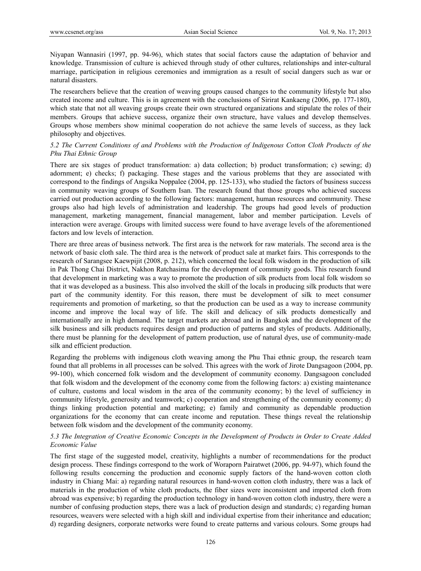Niyapan Wannasiri (1997, pp. 94-96), which states that social factors cause the adaptation of behavior and knowledge. Transmission of culture is achieved through study of other cultures, relationships and inter-cultural marriage, participation in religious ceremonies and immigration as a result of social dangers such as war or natural disasters.

The researchers believe that the creation of weaving groups caused changes to the community lifestyle but also created income and culture. This is in agreement with the conclusions of Sirirat Kankaeng (2006, pp. 177-180), which state that not all weaving groups create their own structured organizations and stipulate the roles of their members. Groups that achieve success, organize their own structure, have values and develop themselves. Groups whose members show minimal cooperation do not achieve the same levels of success, as they lack philosophy and objectives.

# *5.2 The Current Conditions of and Problems with the Production of Indigenous Cotton Cloth Products of the Phu Thai Ethnic Group*

There are six stages of product transformation: a) data collection; b) product transformation; c) sewing; d) adornment; e) checks; f) packaging. These stages and the various problems that they are associated with correspond to the findings of Angsika Noppalee (2004, pp. 125-133), who studied the factors of business success in community weaving groups of Southern Isan. The research found that those groups who achieved success carried out production according to the following factors: management, human resources and community. These groups also had high levels of administration and leadership. The groups had good levels of production management, marketing management, financial management, labor and member participation. Levels of interaction were average. Groups with limited success were found to have average levels of the aforementioned factors and low levels of interaction.

There are three areas of business network. The first area is the network for raw materials. The second area is the network of basic cloth sale. The third area is the network of product sale at market fairs. This corresponds to the research of Sarangsee Kaewpijit (2008, p. 212), which concerned the local folk wisdom in the production of silk in Pak Thong Chai District, Nakhon Ratchasima for the development of community goods. This research found that development in marketing was a way to promote the production of silk products from local folk wisdom so that it was developed as a business. This also involved the skill of the locals in producing silk products that were part of the community identity. For this reason, there must be development of silk to meet consumer requirements and promotion of marketing, so that the production can be used as a way to increase community income and improve the local way of life. The skill and delicacy of silk products domestically and internationally are in high demand. The target markets are abroad and in Bangkok and the development of the silk business and silk products requires design and production of patterns and styles of products. Additionally, there must be planning for the development of pattern production, use of natural dyes, use of community-made silk and efficient production.

Regarding the problems with indigenous cloth weaving among the Phu Thai ethnic group, the research team found that all problems in all processes can be solved. This agrees with the work of Jirote Dangsagoon (2004, pp. 99-100), which concerned folk wisdom and the development of community economy. Dangsagoon concluded that folk wisdom and the development of the economy come from the following factors: a) existing maintenance of culture, customs and local wisdom in the area of the community economy; b) the level of sufficiency in community lifestyle, generosity and teamwork; c) cooperation and strengthening of the community economy; d) things linking production potential and marketing; e) family and community as dependable production organizations for the economy that can create income and reputation. These things reveal the relationship between folk wisdom and the development of the community economy.

# *5.3 The Integration of Creative Economic Concepts in the Development of Products in Order to Create Added Economic Value*

The first stage of the suggested model, creativity, highlights a number of recommendations for the product design process. These findings correspond to the work of Woraporn Pairatwet (2006, pp. 94-97), which found the following results concerning the production and economic supply factors of the hand-woven cotton cloth industry in Chiang Mai: a) regarding natural resources in hand-woven cotton cloth industry, there was a lack of materials in the production of white cloth products, the fiber sizes were inconsistent and imported cloth from abroad was expensive; b) regarding the production technology in hand-woven cotton cloth industry, there were a number of confusing production steps, there was a lack of production design and standards; c) regarding human resources, weavers were selected with a high skill and individual expertise from their inheritance and education; d) regarding designers, corporate networks were found to create patterns and various colours. Some groups had